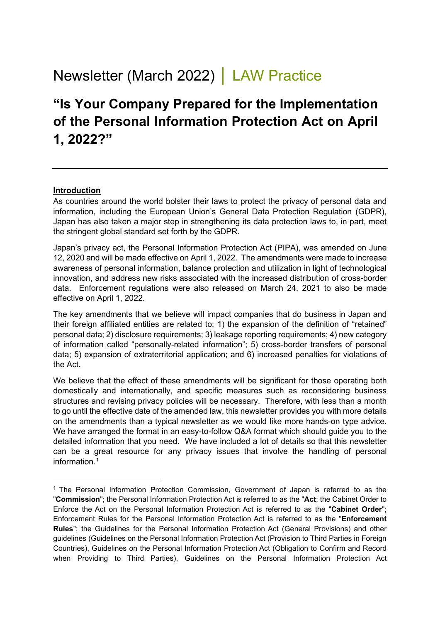# Newsletter (March 2022) │ LAW Practice

## **"Is Your Company Prepared for the Implementation of the Personal Information Protection Act on April 1, 2022?"**

#### **Introduction**

As countries around the world bolster their laws to protect the privacy of personal data and information, including the European Union's General Data Protection Regulation (GDPR), Japan has also taken a major step in strengthening its data protection laws to, in part, meet the stringent global standard set forth by the GDPR.

Japan's privacy act, the Personal Information Protection Act (PIPA), was amended on June 12, 2020 and will be made effective on April 1, 2022. The amendments were made to increase awareness of personal information, balance protection and utilization in light of technological innovation, and address new risks associated with the increased distribution of cross-border data. Enforcement regulations were also released on March 24, 2021 to also be made effective on April 1, 2022.

The key amendments that we believe will impact companies that do business in Japan and their foreign affiliated entities are related to: 1) the expansion of the definition of "retained" personal data; 2) disclosure requirements; 3) leakage reporting requirements; 4) new category of information called "personally-related information"; 5) cross-border transfers of personal data; 5) expansion of extraterritorial application; and 6) increased penalties for violations of the Act**.**

We believe that the effect of these amendments will be significant for those operating both domestically and internationally, and specific measures such as reconsidering business structures and revising privacy policies will be necessary. Therefore, with less than a month to go until the effective date of the amended law, this newsletter provides you with more details on the amendments than a typical newsletter as we would like more hands-on type advice. We have arranged the format in an easy-to-follow Q&A format which should guide you to the detailed information that you need. We have included a lot of details so that this newsletter can be a great resource for any privacy issues that involve the handling of personal information. [1](#page-0-0)

<span id="page-0-0"></span><sup>&</sup>lt;sup>1</sup> The Personal Information Protection Commission, Government of Japan is referred to as the "**Commission**"; the Personal Information Protection Act is referred to as the "**Act**; the Cabinet Order to Enforce the Act on the Personal Information Protection Act is referred to as the "**Cabinet Order**"; Enforcement Rules for the Personal Information Protection Act is referred to as the "**Enforcement Rules**"; the Guidelines for the Personal Information Protection Act (General Provisions) and other guidelines (Guidelines on the Personal Information Protection Act (Provision to Third Parties in Foreign Countries), Guidelines on the Personal Information Protection Act (Obligation to Confirm and Record when Providing to Third Parties), Guidelines on the Personal Information Protection Act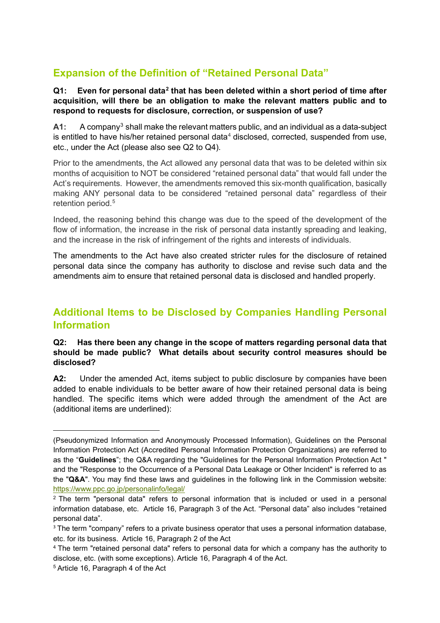## **Expansion of the Definition of "Retained Personal Data"**

#### **Q1: Even for personal data[2](#page-1-0) that has been deleted within a short period of time after acquisition, will there be an obligation to make the relevant matters public and to respond to requests for disclosure, correction, or suspension of use?**

**A1:** A company[3](#page-1-1) shall make the relevant matters public, and an individual as a data-subject is entitled to have his/her retained personal data $4$  disclosed, corrected, suspended from use, etc., under the Act (please also see Q2 to Q4).

Prior to the amendments, the Act allowed any personal data that was to be deleted within six months of acquisition to NOT be considered "retained personal data" that would fall under the Act's requirements. However, the amendments removed this six-month qualification, basically making ANY personal data to be considered "retained personal data" regardless of their retention period. [5](#page-1-3)

Indeed, the reasoning behind this change was due to the speed of the development of the flow of information, the increase in the risk of personal data instantly spreading and leaking, and the increase in the risk of infringement of the rights and interests of individuals.

The amendments to the Act have also created stricter rules for the disclosure of retained personal data since the company has authority to disclose and revise such data and the amendments aim to ensure that retained personal data is disclosed and handled properly.

## **Additional Items to be Disclosed by Companies Handling Personal Information**

#### **Q2: Has there been any change in the scope of matters regarding personal data that should be made public? What details about security control measures should be disclosed?**

**A2:** Under the amended Act, items subject to public disclosure by companies have been added to enable individuals to be better aware of how their retained personal data is being handled. The specific items which were added through the amendment of the Act are (additional items are underlined):

<sup>(</sup>Pseudonymized Information and Anonymously Processed Information), Guidelines on the Personal Information Protection Act (Accredited Personal Information Protection Organizations) are referred to as the "**Guidelines**"; the Q&A regarding the "Guidelines for the Personal Information Protection Act " and the "Response to the Occurrence of a Personal Data Leakage or Other Incident" is referred to as the "**Q&A**". You may find these laws and guidelines in the following link in the Commission website: <https://www.ppc.go.jp/personalinfo/legal/>

<span id="page-1-0"></span><sup>2</sup> The term "personal data" refers to personal information that is included or used in a personal information database, etc. Article 16, Paragraph 3 of the Act. "Personal data" also includes "retained personal data".

<span id="page-1-1"></span><sup>&</sup>lt;sup>3</sup> The term "company" refers to a private business operator that uses a personal information database, etc. for its business. Article 16, Paragraph 2 of the Act

<span id="page-1-2"></span><sup>4</sup> The term "retained personal data" refers to personal data for which a company has the authority to disclose, etc. (with some exceptions). Article 16, Paragraph 4 of the Act.

<span id="page-1-3"></span><sup>5</sup> Article 16, Paragraph 4 of the Act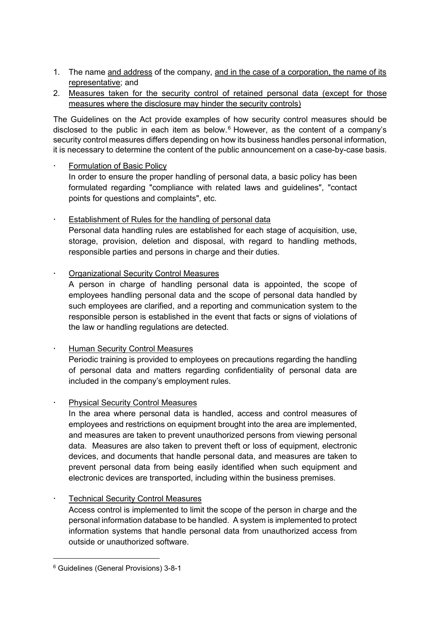- 1. The name and address of the company, and in the case of a corporation, the name of its representative; and
- 2. Measures taken for the security control of retained personal data (except for those measures where the disclosure may hinder the security controls)

The Guidelines on the Act provide examples of how security control measures should be disclosed to the public in each item as below. [6](#page-2-0) However, as the content of a company's security control measures differs depending on how its business handles personal information, it is necessary to determine the content of the public announcement on a case-by-case basis.

- Formulation of Basic Policy In order to ensure the proper handling of personal data, a basic policy has been formulated regarding "compliance with related laws and guidelines", "contact points for questions and complaints", etc.
- Establishment of Rules for the handling of personal data Personal data handling rules are established for each stage of acquisition, use, storage, provision, deletion and disposal, with regard to handling methods, responsible parties and persons in charge and their duties.
- Organizational Security Control Measures
	- A person in charge of handling personal data is appointed, the scope of employees handling personal data and the scope of personal data handled by such employees are clarified, and a reporting and communication system to the responsible person is established in the event that facts or signs of violations of the law or handling regulations are detected.
- Human Security Control Measures Periodic training is provided to employees on precautions regarding the handling of personal data and matters regarding confidentiality of personal data are included in the company's employment rules.
- Physical Security Control Measures

In the area where personal data is handled, access and control measures of employees and restrictions on equipment brought into the area are implemented, and measures are taken to prevent unauthorized persons from viewing personal data. Measures are also taken to prevent theft or loss of equipment, electronic devices, and documents that handle personal data, and measures are taken to prevent personal data from being easily identified when such equipment and electronic devices are transported, including within the business premises.

Technical Security Control Measures

Access control is implemented to limit the scope of the person in charge and the personal information database to be handled. A system is implemented to protect information systems that handle personal data from unauthorized access from outside or unauthorized software.

<span id="page-2-0"></span><sup>6</sup> Guidelines (General Provisions) 3-8-1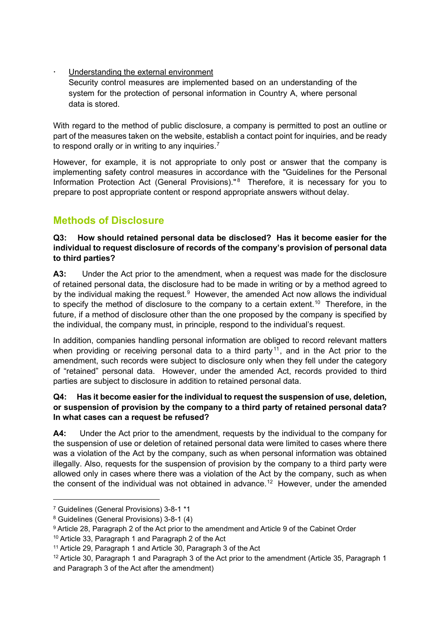Understanding the external environment

Security control measures are implemented based on an understanding of the system for the protection of personal information in Country A, where personal data is stored.

With regard to the method of public disclosure, a company is permitted to post an outline or part of the measures taken on the website, establish a contact point for inquiries, and be ready to respond orally or in writing to any inquiries.<sup>[7](#page-3-0)</sup>

However, for example, it is not appropriate to only post or answer that the company is implementing safety control measures in accordance with the "Guidelines for the Personal Information Protection Act (General Provisions)."<sup>[8](#page-3-1)</sup> Therefore, it is necessary for you to prepare to post appropriate content or respond appropriate answers without delay.

## **Methods of Disclosure**

#### **Q3: How should retained personal data be disclosed? Has it become easier for the individual to request disclosure of records of the company's provision of personal data to third parties?**

**A3:** Under the Act prior to the amendment, when a request was made for the disclosure of retained personal data, the disclosure had to be made in writing or by a method agreed to by the individual making the request.<sup>[9](#page-3-2)</sup> However, the amended Act now allows the individual to specify the method of disclosure to the company to a certain extent.<sup>[10](#page-3-3)</sup> Therefore, in the future, if a method of disclosure other than the one proposed by the company is specified by the individual, the company must, in principle, respond to the individual's request.

In addition, companies handling personal information are obliged to record relevant matters when providing or receiving personal data to a third party<sup>[11](#page-3-4)</sup>, and in the Act prior to the amendment, such records were subject to disclosure only when they fell under the category of "retained" personal data. However, under the amended Act, records provided to third parties are subject to disclosure in addition to retained personal data.

#### **Q4: Has it become easier for the individual to request the suspension of use, deletion, or suspension of provision by the company to a third party of retained personal data? In what cases can a request be refused?**

**A4:** Under the Act prior to the amendment, requests by the individual to the company for the suspension of use or deletion of retained personal data were limited to cases where there was a violation of the Act by the company, such as when personal information was obtained illegally. Also, requests for the suspension of provision by the company to a third party were allowed only in cases where there was a violation of the Act by the company, such as when the consent of the individual was not obtained in advance. [12](#page-3-5) However, under the amended

<span id="page-3-0"></span><sup>7</sup> Guidelines (General Provisions) 3-8-1 \*1

<span id="page-3-1"></span><sup>8</sup> Guidelines (General Provisions) 3-8-1 (4)

<span id="page-3-2"></span><sup>9</sup> Article 28, Paragraph 2 of the Act prior to the amendment and Article 9 of the Cabinet Order

<span id="page-3-3"></span><sup>10</sup> Article 33, Paragraph 1 and Paragraph 2 of the Act

<span id="page-3-4"></span><sup>11</sup> Article 29, Paragraph 1 and Article 30, Paragraph 3 of the Act

<span id="page-3-5"></span><sup>&</sup>lt;sup>12</sup> Article 30, Paragraph 1 and Paragraph 3 of the Act prior to the amendment (Article 35, Paragraph 1 and Paragraph 3 of the Act after the amendment)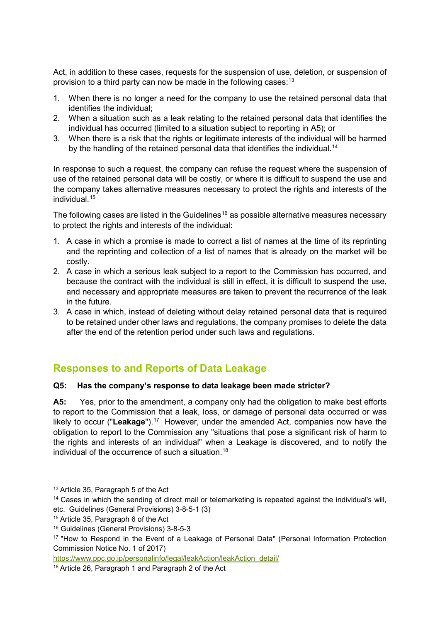Act, in addition to these cases, requests for the suspension of use, deletion, or suspension of provision to a third party can now be made in the following cases:<sup>[13](#page-4-0)</sup>

- 1. When there is no longer a need for the company to use the retained personal data that identifies the individual;
- 2. When a situation such as a leak relating to the retained personal data that identifies the individual has occurred (limited to a situation subject to reporting in A5); or
- 3. When there is a risk that the rights or legitimate interests of the individual will be harmed by the handling of the retained personal data that identifies the individual.<sup>[14](#page-4-1)</sup>

In response to such a request, the company can refuse the request where the suspension of use of the retained personal data will be costly, or where it is difficult to suspend the use and the company takes alternative measures necessary to protect the rights and interests of the individual. [15](#page-4-2)

The following cases are listed in the Guidelines<sup>[16](#page-4-3)</sup> as possible alternative measures necessary to protect the rights and interests of the individual:

- 1. A case in which a promise is made to correct a list of names at the time of its reprinting and the reprinting and collection of a list of names that is already on the market will be costly.
- 2. A case in which a serious leak subject to a report to the Commission has occurred, and because the contract with the individual is still in effect, it is difficult to suspend the use, and necessary and appropriate measures are taken to prevent the recurrence of the leak in the future.
- 3. A case in which, instead of deleting without delay retained personal data that is required to be retained under other laws and regulations, the company promises to delete the data after the end of the retention period under such laws and regulations.

## **Responses to and Reports of Data Leakage**

#### **Q5: Has the company's response to data leakage been made stricter?**

**A5:** Yes, prior to the amendment, a company only had the obligation to make best efforts to report to the Commission that a leak, loss, or damage of personal data occurred or was likely to occur ("Leakage").<sup>17</sup> However, under the amended Act, companies now have the obligation to report to the Commission any "situations that pose a significant risk of harm to the rights and interests of an individual" when a Leakage is discovered, and to notify the individual of the occurrence of such a situation. [18](#page-4-5)

[https://www.ppc.go.jp/personalinfo/legal/leakAction/leakAction\\_detail/](https://www.ppc.go.jp/personalinfo/legal/leakAction/leakAction_detail/)

<span id="page-4-0"></span><sup>13</sup> Article 35, Paragraph 5 of the Act

<span id="page-4-1"></span><sup>&</sup>lt;sup>14</sup> Cases in which the sending of direct mail or telemarketing is repeated against the individual's will, etc. Guidelines (General Provisions) 3-8-5-1 (3)

<span id="page-4-2"></span><sup>15</sup> Article 35, Paragraph 6 of the Act

<span id="page-4-3"></span><sup>16</sup> Guidelines (General Provisions) 3-8-5-3

<span id="page-4-4"></span><sup>17 &</sup>quot;How to Respond in the Event of a Leakage of Personal Data" (Personal Information Protection Commission Notice No. 1 of 2017)

<span id="page-4-5"></span><sup>18</sup> Article 26, Paragraph 1 and Paragraph 2 of the Act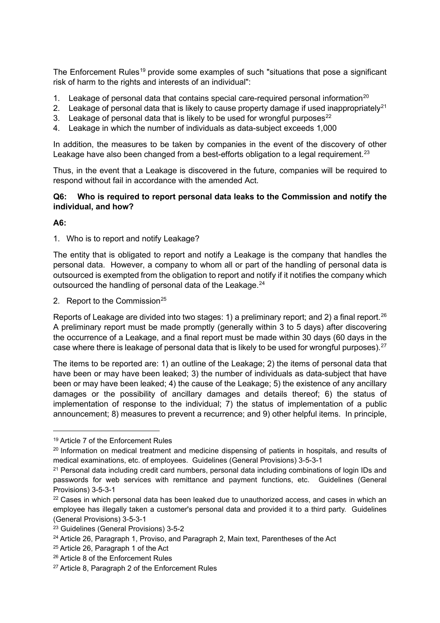The Enforcement Rules<sup>[19](#page-5-0)</sup> provide some examples of such "situations that pose a significant risk of harm to the rights and interests of an individual":

- 1. Leakage of personal data that contains special care-required personal information<sup>[20](#page-5-1)</sup>
- 2. Leakage of personal data that is likely to cause property damage if used inappropriately<sup>[21](#page-5-2)</sup>
- 3. Leakage of personal data that is likely to be used for wrongful purposes<sup>[22](#page-5-3)</sup>
- 4. Leakage in which the number of individuals as data-subject exceeds 1,000

In addition, the measures to be taken by companies in the event of the discovery of other Leakage have also been changed from a best-efforts obligation to a legal requirement.<sup>[23](#page-5-4)</sup>

Thus, in the event that a Leakage is discovered in the future, companies will be required to respond without fail in accordance with the amended Act.

#### **Q6: Who is required to report personal data leaks to the Commission and notify the individual, and how?**

**A6:**

1. Who is to report and notify Leakage?

The entity that is obligated to report and notify a Leakage is the company that handles the personal data. However, a company to whom all or part of the handling of personal data is outsourced is exempted from the obligation to report and notify if it notifies the company which outsourced the handling of personal data of the Leakage.<sup>[24](#page-5-5)</sup>

2. Report to the Commission $25$ 

Reports of Leakage are divided into two stages: 1) a preliminary report; and 2) a final report.<sup>[26](#page-5-7)</sup> A preliminary report must be made promptly (generally within 3 to 5 days) after discovering the occurrence of a Leakage, and a final report must be made within 30 days (60 days in the case where there is leakage of personal data that is likely to be used for wrongful purposes).  $27$ 

The items to be reported are: 1) an outline of the Leakage; 2) the items of personal data that have been or may have been leaked; 3) the number of individuals as data-subject that have been or may have been leaked; 4) the cause of the Leakage; 5) the existence of any ancillary damages or the possibility of ancillary damages and details thereof; 6) the status of implementation of response to the individual; 7) the status of implementation of a public announcement; 8) measures to prevent a recurrence; and 9) other helpful items. In principle,

<span id="page-5-0"></span><sup>19</sup> Article 7 of the Enforcement Rules

<span id="page-5-1"></span><sup>&</sup>lt;sup>20</sup> Information on medical treatment and medicine dispensing of patients in hospitals, and results of medical examinations, etc. of employees. Guidelines (General Provisions) 3-5-3-1

<span id="page-5-2"></span><sup>21</sup> Personal data including credit card numbers, personal data including combinations of login IDs and passwords for web services with remittance and payment functions, etc. Guidelines (General Provisions) 3-5-3-1

<span id="page-5-3"></span> $22$  Cases in which personal data has been leaked due to unauthorized access, and cases in which an employee has illegally taken a customer's personal data and provided it to a third party. Guidelines (General Provisions) 3-5-3-1

<span id="page-5-4"></span><sup>23</sup> Guidelines (General Provisions) 3-5-2

<span id="page-5-5"></span> $24$  Article 26, Paragraph 1, Proviso, and Paragraph 2, Main text, Parentheses of the Act

<span id="page-5-6"></span><sup>25</sup> Article 26, Paragraph 1 of the Act

<span id="page-5-7"></span><sup>26</sup> Article 8 of the Enforcement Rules

<span id="page-5-8"></span><sup>27</sup> Article 8, Paragraph 2 of the Enforcement Rules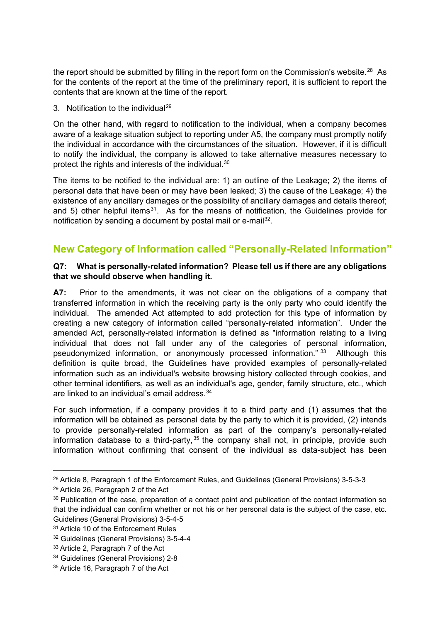the report should be submitted by filling in the report form on the Commission's website. $^{28}$  $^{28}$  $^{28}$  As for the contents of the report at the time of the preliminary report, it is sufficient to report the contents that are known at the time of the report.

3. Notification to the individual<sup>[29](#page-6-1)</sup>

On the other hand, with regard to notification to the individual, when a company becomes aware of a leakage situation subject to reporting under A5, the company must promptly notify the individual in accordance with the circumstances of the situation. However, if it is difficult to notify the individual, the company is allowed to take alternative measures necessary to protect the rights and interests of the individual.<sup>[30](#page-6-2)</sup>

The items to be notified to the individual are: 1) an outline of the Leakage; 2) the items of personal data that have been or may have been leaked; 3) the cause of the Leakage; 4) the existence of any ancillary damages or the possibility of ancillary damages and details thereof; and 5) other helpful items<sup>[31](#page-6-3)</sup>. As for the means of notification, the Guidelines provide for notification by sending a document by postal mail or e-mail<sup>32</sup>.

## **New Category of Information called "Personally-Related Information"**

#### **Q7: What is personally-related information? Please tell us if there are any obligations that we should observe when handling it.**

**A7:** Prior to the amendments, it was not clear on the obligations of a company that transferred information in which the receiving party is the only party who could identify the individual. The amended Act attempted to add protection for this type of information by creating a new category of information called "personally-related information". Under the amended Act, personally-related information is defined as "information relating to a living individual that does not fall under any of the categories of personal information, pseudonymized information, or anonymously processed information." [33](#page-6-5) Although this definition is quite broad, the Guidelines have provided examples of personally-related information such as an individual's website browsing history collected through cookies, and other terminal identifiers, as well as an individual's age, gender, family structure, etc., which are linked to an individual's email address.[34](#page-6-6) 

For such information, if a company provides it to a third party and (1) assumes that the information will be obtained as personal data by the party to which it is provided, (2) intends to provide personally-related information as part of the company's personally-related information database to a third-party,  $35$  the company shall not, in principle, provide such information without confirming that consent of the individual as data-subject has been

<span id="page-6-0"></span><sup>28</sup> Article 8, Paragraph 1 of the Enforcement Rules, and Guidelines (General Provisions) 3-5-3-3

<span id="page-6-1"></span><sup>29</sup> Article 26, Paragraph 2 of the Act

<span id="page-6-2"></span><sup>&</sup>lt;sup>30</sup> Publication of the case, preparation of a contact point and publication of the contact information so that the individual can confirm whether or not his or her personal data is the subject of the case, etc. Guidelines (General Provisions) 3-5-4-5

<span id="page-6-3"></span><sup>&</sup>lt;sup>31</sup> Article 10 of the Enforcement Rules

<span id="page-6-4"></span><sup>32</sup> Guidelines (General Provisions) 3-5-4-4

<span id="page-6-5"></span><sup>33</sup> Article 2, Paragraph 7 of the Act

<span id="page-6-6"></span><sup>34</sup> Guidelines (General Provisions) 2-8

<span id="page-6-7"></span><sup>35</sup> Article 16, Paragraph 7 of the Act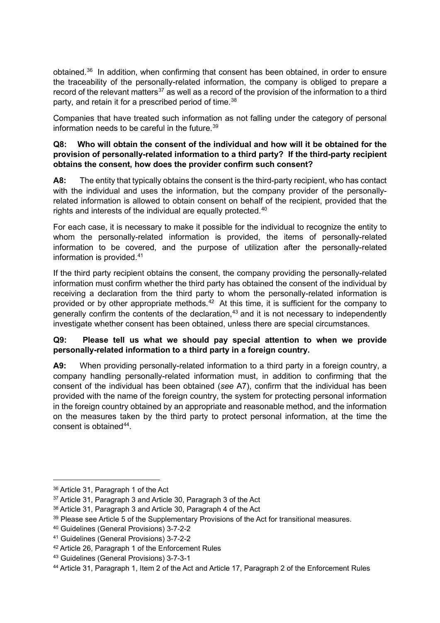obtained. [36](#page-7-0) In addition, when confirming that consent has been obtained, in order to ensure the traceability of the personally-related information, the company is obliged to prepare a record of the relevant matters<sup>[37](#page-7-1)</sup> as well as a record of the provision of the information to a third party, and retain it for a prescribed period of time.<sup>[38](#page-7-2)</sup>

Companies that have treated such information as not falling under the category of personal information needs to be careful in the future. [39](#page-7-3)

#### **Q8: Who will obtain the consent of the individual and how will it be obtained for the provision of personally-related information to a third party? If the third-party recipient obtains the consent, how does the provider confirm such consent?**

**A8:** The entity that typically obtains the consent is the third-party recipient, who has contact with the individual and uses the information, but the company provider of the personallyrelated information is allowed to obtain consent on behalf of the recipient, provided that the rights and interests of the individual are equally protected. [40](#page-7-4)

For each case, it is necessary to make it possible for the individual to recognize the entity to whom the personally-related information is provided, the items of personally-related information to be covered, and the purpose of utilization after the personally-related information is provided. [41](#page-7-5)

If the third party recipient obtains the consent, the company providing the personally-related information must confirm whether the third party has obtained the consent of the individual by receiving a declaration from the third party to whom the personally-related information is provided or by other appropriate methods. $42$  At this time, it is sufficient for the company to generally confirm the contents of the declaration, [43](#page-7-7) and it is not necessary to independently investigate whether consent has been obtained, unless there are special circumstances.

#### **Q9: Please tell us what we should pay special attention to when we provide personally-related information to a third party in a foreign country.**

**A9:** When providing personally-related information to a third party in a foreign country, a company handling personally-related information must, in addition to confirming that the consent of the individual has been obtained (*see* A7), confirm that the individual has been provided with the name of the foreign country, the system for protecting personal information in the foreign country obtained by an appropriate and reasonable method, and the information on the measures taken by the third party to protect personal information, at the time the consent is obtained $44$ .

<span id="page-7-0"></span><sup>36</sup> Article 31, Paragraph 1 of the Act

<span id="page-7-1"></span><sup>37</sup> Article 31, Paragraph 3 and Article 30, Paragraph 3 of the Act

<span id="page-7-2"></span><sup>38</sup> Article 31, Paragraph 3 and Article 30, Paragraph 4 of the Act

<span id="page-7-3"></span><sup>&</sup>lt;sup>39</sup> Please see Article 5 of the Supplementary Provisions of the Act for transitional measures.

<span id="page-7-4"></span><sup>40</sup> Guidelines (General Provisions) 3-7-2-2

<span id="page-7-5"></span><sup>41</sup> Guidelines (General Provisions) 3-7-2-2

<span id="page-7-6"></span><sup>42</sup> Article 26, Paragraph 1 of the Enforcement Rules

<span id="page-7-7"></span><sup>43</sup> Guidelines (General Provisions) 3-7-3-1

<span id="page-7-8"></span><sup>44</sup> Article 31, Paragraph 1, Item 2 of the Act and Article 17, Paragraph 2 of the Enforcement Rules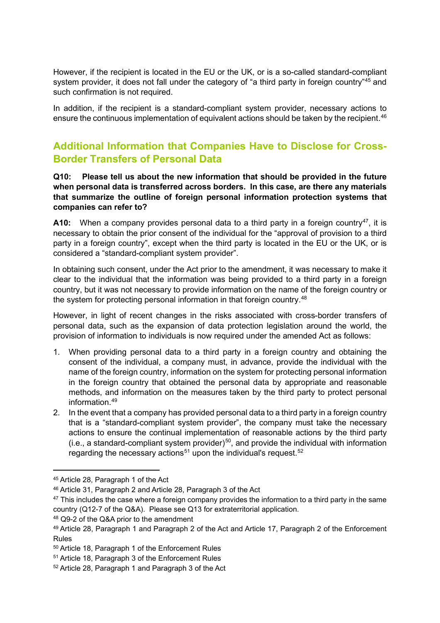However, if the recipient is located in the EU or the UK, or is a so-called standard-compliant system provider, it does not fall under the category of "a third party in foreign country"<sup>[45](#page-8-0)</sup> and such confirmation is not required.

In addition, if the recipient is a standard-compliant system provider, necessary actions to ensure the continuous implementation of equivalent actions should be taken by the recipient. [46](#page-8-1)

## **Additional Information that Companies Have to Disclose for Cross-Border Transfers of Personal Data**

**Q10: Please tell us about the new information that should be provided in the future when personal data is transferred across borders. In this case, are there any materials that summarize the outline of foreign personal information protection systems that companies can refer to?**

**A10:** When a company provides personal data to a third party in a foreign country<sup>47</sup>, it is necessary to obtain the prior consent of the individual for the "approval of provision to a third party in a foreign country", except when the third party is located in the EU or the UK, or is considered a "standard-compliant system provider".

In obtaining such consent, under the Act prior to the amendment, it was necessary to make it clear to the individual that the information was being provided to a third party in a foreign country, but it was not necessary to provide information on the name of the foreign country or the system for protecting personal information in that foreign country. [48](#page-8-3)

However, in light of recent changes in the risks associated with cross-border transfers of personal data, such as the expansion of data protection legislation around the world, the provision of information to individuals is now required under the amended Act as follows:

- 1. When providing personal data to a third party in a foreign country and obtaining the consent of the individual, a company must, in advance, provide the individual with the name of the foreign country, information on the system for protecting personal information in the foreign country that obtained the personal data by appropriate and reasonable methods, and information on the measures taken by the third party to protect personal information. [49](#page-8-4)
- 2. In the event that a company has provided personal data to a third party in a foreign country that is a "standard-compliant system provider", the company must take the necessary actions to ensure the continual implementation of reasonable actions by the third party  $(i.e., a standard-compliant system provider)$ <sup>50</sup>, and provide the individual with information regarding the necessary actions $^{\rm 51}$  $^{\rm 51}$  $^{\rm 51}$  upon the individual's request. $^{\rm 52}$  $^{\rm 52}$  $^{\rm 52}$

<span id="page-8-0"></span><sup>45</sup> Article 28, Paragraph 1 of the Act

<span id="page-8-1"></span><sup>46</sup> Article 31, Paragraph 2 and Article 28, Paragraph 3 of the Act

<span id="page-8-2"></span> $47$  This includes the case where a foreign company provides the information to a third party in the same country (Q12-7 of the Q&A). Please see Q13 for extraterritorial application.

<span id="page-8-3"></span><sup>48</sup> Q9-2 of the Q&A prior to the amendment

<span id="page-8-4"></span><sup>49</sup> Article 28, Paragraph 1 and Paragraph 2 of the Act and Article 17, Paragraph 2 of the Enforcement Rules

<span id="page-8-5"></span><sup>50</sup> Article 18, Paragraph 1 of the Enforcement Rules

<span id="page-8-6"></span><sup>51</sup> Article 18, Paragraph 3 of the Enforcement Rules

<span id="page-8-7"></span><sup>52</sup> Article 28, Paragraph 1 and Paragraph 3 of the Act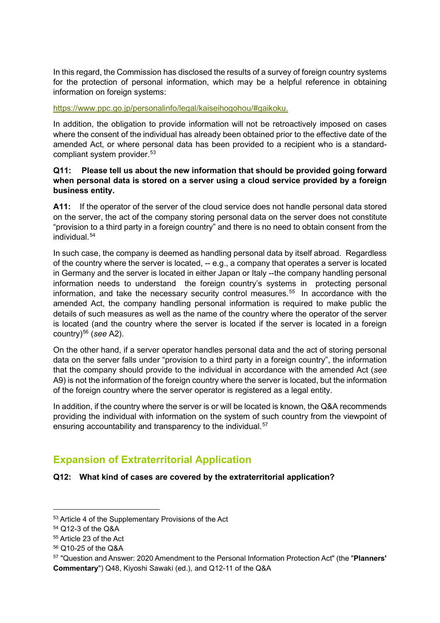In this regard, the Commission has disclosed the results of a survey of foreign country systems for the protection of personal information, which may be a helpful reference in obtaining information on foreign systems:

#### [https://www.ppc.go.jp/personalinfo/legal/kaiseihogohou/#gaikoku.](https://www.ppc.go.jp/personalinfo/legal/kaiseihogohou/#gaikoku)

In addition, the obligation to provide information will not be retroactively imposed on cases where the consent of the individual has already been obtained prior to the effective date of the amended Act, or where personal data has been provided to a recipient who is a standardcompliant system provider. [53](#page-9-0)

#### **Q11: Please tell us about the new information that should be provided going forward when personal data is stored on a server using a cloud service provided by a foreign business entity.**

**A11:** If the operator of the server of the cloud service does not handle personal data stored on the server, the act of the company storing personal data on the server does not constitute "provision to a third party in a foreign country" and there is no need to obtain consent from the individual. [54](#page-9-1)

In such case, the company is deemed as handling personal data by itself abroad. Regardless of the country where the server is located, -- e.g., a company that operates a server is located in Germany and the server is located in either Japan or Italy --the company handling personal information needs to understand the foreign country's systems in protecting personal information, and take the necessary security control measures. [55](#page-9-2) In accordance with the amended Act, the company handling personal information is required to make public the details of such measures as well as the name of the country where the operator of the server is located (and the country where the server is located if the server is located in a foreign country)[56](#page-9-3) (*see* A2).

On the other hand, if a server operator handles personal data and the act of storing personal data on the server falls under "provision to a third party in a foreign country", the information that the company should provide to the individual in accordance with the amended Act (*see* A9) is not the information of the foreign country where the server is located, but the information of the foreign country where the server operator is registered as a legal entity.

In addition, if the country where the server is or will be located is known, the Q&A recommends providing the individual with information on the system of such country from the viewpoint of ensuring accountability and transparency to the individual.<sup>[57](#page-9-4)</sup>

## **Expansion of Extraterritorial Application**

#### **Q12: What kind of cases are covered by the extraterritorial application?**

<span id="page-9-0"></span><sup>53</sup> Article 4 of the Supplementary Provisions of the Act

<span id="page-9-1"></span><sup>54</sup> Q12-3 of the Q&A

<span id="page-9-2"></span><sup>55</sup> Article 23 of the Act

<span id="page-9-3"></span><sup>56</sup> Q10-25 of the Q&A

<span id="page-9-4"></span><sup>57</sup> "Question and Answer: 2020 Amendment to the Personal Information Protection Act" (the "**Planners' Commentary**") Q48, Kiyoshi Sawaki (ed.), and Q12-11 of the Q&A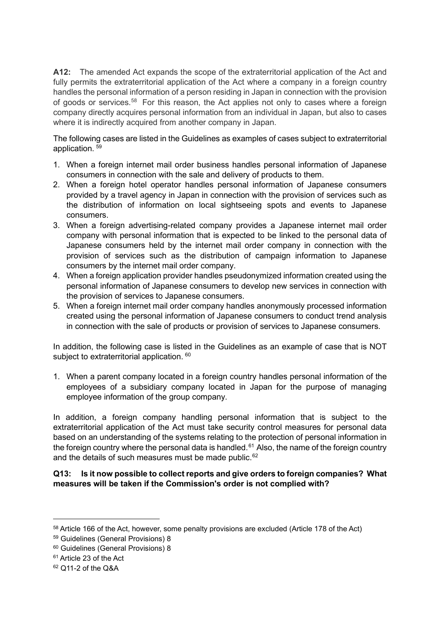**A12:** The amended Act expands the scope of the extraterritorial application of the Act and fully permits the extraterritorial application of the Act where a company in a foreign country handles the personal information of a person residing in Japan in connection with the provision of goods or services.<sup>[58](#page-10-0)</sup> For this reason, the Act applies not only to cases where a foreign company directly acquires personal information from an individual in Japan, but also to cases where it is indirectly acquired from another company in Japan.

The following cases are listed in the Guidelines as examples of cases subject to extraterritorial application. [59](#page-10-1)

- 1. When a foreign internet mail order business handles personal information of Japanese consumers in connection with the sale and delivery of products to them.
- 2. When a foreign hotel operator handles personal information of Japanese consumers provided by a travel agency in Japan in connection with the provision of services such as the distribution of information on local sightseeing spots and events to Japanese consumers.
- 3. When a foreign advertising-related company provides a Japanese internet mail order company with personal information that is expected to be linked to the personal data of Japanese consumers held by the internet mail order company in connection with the provision of services such as the distribution of campaign information to Japanese consumers by the internet mail order company.
- 4. When a foreign application provider handles pseudonymized information created using the personal information of Japanese consumers to develop new services in connection with the provision of services to Japanese consumers.
- 5. When a foreign internet mail order company handles anonymously processed information created using the personal information of Japanese consumers to conduct trend analysis in connection with the sale of products or provision of services to Japanese consumers.

In addition, the following case is listed in the Guidelines as an example of case that is NOT subject to extraterritorial application. <sup>[60](#page-10-2)</sup>

1. When a parent company located in a foreign country handles personal information of the employees of a subsidiary company located in Japan for the purpose of managing employee information of the group company.

In addition, a foreign company handling personal information that is subject to the extraterritorial application of the Act must take security control measures for personal data based on an understanding of the systems relating to the protection of personal information in the foreign country where the personal data is handled. [61](#page-10-3) Also, the name of the foreign country and the details of such measures must be made public.<sup>[62](#page-10-4)</sup>

#### **Q13: Is it now possible to collect reports and give orders to foreign companies? What measures will be taken if the Commission's order is not complied with?**

<span id="page-10-0"></span><sup>58</sup> Article 166 of the Act, however, some penalty provisions are excluded (Article 178 of the Act)

<span id="page-10-1"></span><sup>59</sup> Guidelines (General Provisions) 8

<span id="page-10-2"></span><sup>60</sup> Guidelines (General Provisions) 8

<span id="page-10-3"></span><sup>61</sup> Article 23 of the Act

<span id="page-10-4"></span><sup>62</sup> Q11-2 of the Q&A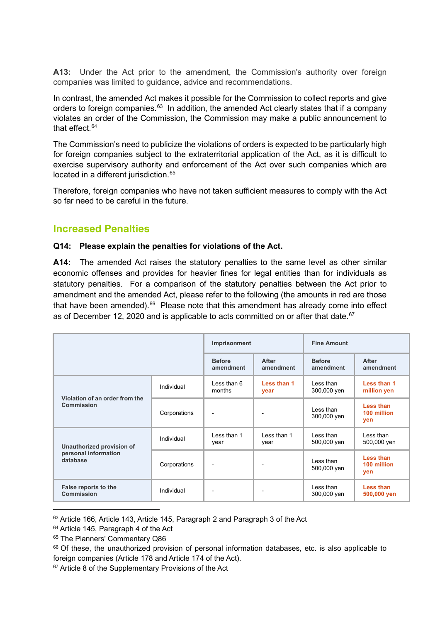**A13:** Under the Act prior to the amendment, the Commission's authority over foreign companies was limited to guidance, advice and recommendations.

In contrast, the amended Act makes it possible for the Commission to collect reports and give orders to foreign companies.<sup>[63](#page-11-0)</sup> In addition, the amended Act clearly states that if a company violates an order of the Commission, the Commission may make a public announcement to that effect. [64](#page-11-1)

The Commission's need to publicize the violations of orders is expected to be particularly high for foreign companies subject to the extraterritorial application of the Act, as it is difficult to exercise supervisory authority and enforcement of the Act over such companies which are located in a different jurisdiction. [65](#page-11-2)

Therefore, foreign companies who have not taken sufficient measures to comply with the Act so far need to be careful in the future.

### **Increased Penalties**

#### **Q14: Please explain the penalties for violations of the Act.**

**A14:** The amended Act raises the statutory penalties to the same level as other similar economic offenses and provides for heavier fines for legal entities than for individuals as statutory penalties. For a comparison of the statutory penalties between the Act prior to amendment and the amended Act, please refer to the following (the amounts in red are those that have been amended).<sup>[66](#page-11-3)</sup> Please note that this amendment has already come into effect as of December 12, 2020 and is applicable to acts committed on or after that date. [67](#page-11-4)

|                                                               |              | Imprisonment               |                      | <b>Fine Amount</b>         |                                 |
|---------------------------------------------------------------|--------------|----------------------------|----------------------|----------------------------|---------------------------------|
|                                                               |              | <b>Before</b><br>amendment | After<br>amendment   | <b>Before</b><br>amendment | After<br>amendment              |
| Violation of an order from the<br>Commission                  | Individual   | Less than 6<br>months      | Less than 1<br>year  | Less than<br>300,000 yen   | Less than 1<br>million yen      |
|                                                               | Corporations |                            |                      | Less than<br>300,000 yen   | Less than<br>100 million<br>ven |
| Unauthorized provision of<br>personal information<br>database | Individual   | I ess than 1<br>year       | I ess than 1<br>year | Less than<br>500,000 yen   | Less than<br>500,000 yen        |
|                                                               | Corporations |                            |                      | Less than<br>500,000 yen   | Less than<br>100 million<br>yen |
| False reports to the<br><b>Commission</b>                     | Individual   |                            |                      | Less than<br>300,000 yen   | Less than<br>500,000 yen        |

<span id="page-11-0"></span><sup>63</sup> Article 166, Article 143, Article 145, Paragraph 2 and Paragraph 3 of the Act

<span id="page-11-1"></span><sup>&</sup>lt;sup>64</sup> Article 145, Paragraph 4 of the Act

<span id="page-11-2"></span><sup>&</sup>lt;sup>65</sup> The Planners' Commentary Q86

<span id="page-11-3"></span><sup>&</sup>lt;sup>66</sup> Of these, the unauthorized provision of personal information databases, etc. is also applicable to foreign companies (Article 178 and Article 174 of the Act).

<span id="page-11-4"></span><sup>&</sup>lt;sup>67</sup> Article 8 of the Supplementary Provisions of the Act